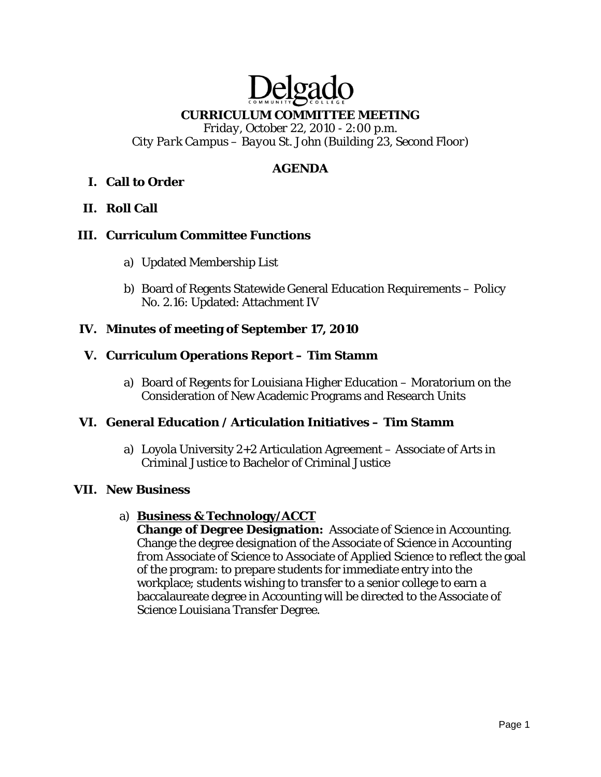# **CURRICULUM COMMITTEE MEETING**

Delgade

*Friday, October 22, 2010 - 2:00 p.m. City Park Campus – Bayou St. John (Building 23, Second Floor)* 

# **AGENDA**

# **I. Call to Order**

# **II. Roll Call**

### **III. Curriculum Committee Functions**

- a) Updated Membership List
- b) Board of Regents Statewide General Education Requirements Policy No. 2.16: Updated: Attachment IV

# **IV. Minutes of meeting of September 17, 2010**

# **V. Curriculum Operations Report – Tim Stamm**

a) Board of Regents for Louisiana Higher Education – Moratorium on the Consideration of New Academic Programs and Research Units

### **VI. General Education / Articulation Initiatives – Tim Stamm**

a) Loyola University 2+2 Articulation Agreement – Associate of Arts in Criminal Justice to Bachelor of Criminal Justice

### **VII. New Business**

### a) **Business & Technology/ACCT**

**Change of Degree Designation:** Associate of Science in Accounting. Change the degree designation of the Associate of Science in Accounting *from* Associate of Science *to* Associate of Applied Science to reflect the goal of the program: to prepare students for immediate entry into the workplace; students wishing to transfer to a senior college to earn a baccalaureate degree in Accounting will be directed to the Associate of Science Louisiana Transfer Degree.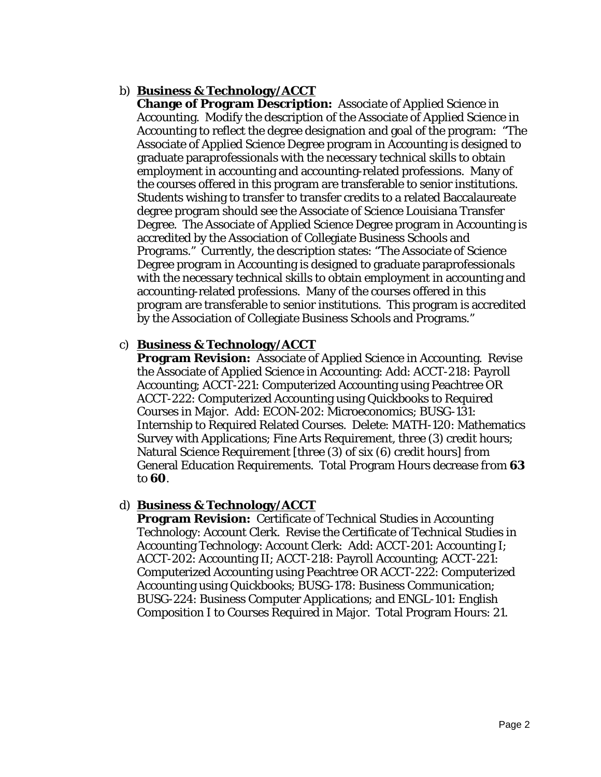# b) **Business & Technology/ACCT**

**Change of Program Description:** Associate of Applied Science in Accounting. Modify the description of the Associate of Applied Science in Accounting to reflect the degree designation and goal of the program: "The Associate of Applied Science Degree program in Accounting is designed to graduate paraprofessionals with the necessary technical skills to obtain employment in accounting and accounting-related professions. Many of the courses offered in this program are transferable to senior institutions. Students wishing to transfer to transfer credits to a related Baccalaureate degree program should see the Associate of Science Louisiana Transfer Degree. The Associate of Applied Science Degree program in Accounting is accredited by the Association of Collegiate Business Schools and Programs." Currently, the description states: "The Associate of Science Degree program in Accounting is designed to graduate paraprofessionals with the necessary technical skills to obtain employment in accounting and accounting-related professions. Many of the courses offered in this program are transferable to senior institutions. This program is accredited by the Association of Collegiate Business Schools and Programs."

# c) **Business & Technology/ACCT**

**Program Revision:** Associate of Applied Science in Accounting. Revise the Associate of Applied Science in Accounting: Add: ACCT-218: Payroll Accounting; ACCT-221: Computerized Accounting using Peachtree OR ACCT-222: Computerized Accounting using Quickbooks to Required Courses in Major. Add: ECON-202: Microeconomics; BUSG-131: Internship to Required Related Courses. Delete: MATH-120: Mathematics Survey with Applications; Fine Arts Requirement, three (3) credit hours; Natural Science Requirement [three (3) of six (6) credit hours] from General Education Requirements. Total Program Hours decrease *from* **63** *to* **60**.

### d) **Business & Technology/ACCT**

**Program Revision:** Certificate of Technical Studies in Accounting Technology: Account Clerk. Revise the Certificate of Technical Studies in Accounting Technology: Account Clerk: Add: ACCT-201: Accounting I; ACCT-202: Accounting II; ACCT-218: Payroll Accounting; ACCT-221: Computerized Accounting using Peachtree OR ACCT-222: Computerized Accounting using Quickbooks; BUSG-178: Business Communication; BUSG-224: Business Computer Applications; and ENGL-101: English Composition I to Courses Required in Major. Total Program Hours: 21.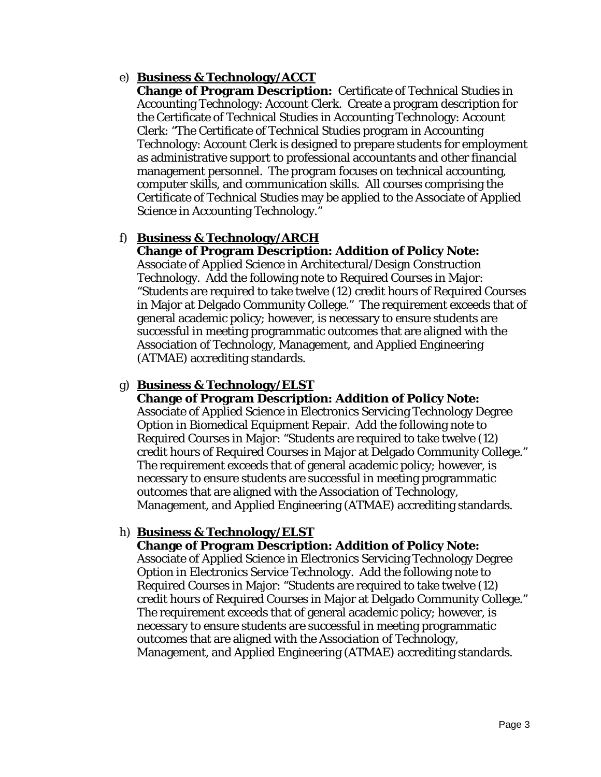## e) **Business & Technology/ACCT**

**Change of Program Description:** Certificate of Technical Studies in Accounting Technology: Account Clerk. Create a program description for the Certificate of Technical Studies in Accounting Technology: Account Clerk: "The Certificate of Technical Studies program in Accounting Technology: Account Clerk is designed to prepare students for employment as administrative support to professional accountants and other financial management personnel. The program focuses on technical accounting, computer skills, and communication skills. All courses comprising the Certificate of Technical Studies may be applied to the Associate of Applied Science in Accounting Technology."

# f) **Business & Technology/ARCH**

#### **Change of Program Description: Addition of Policy Note:** Associate of Applied Science in Architectural/Design Construction

Technology. Add the following note to Required Courses in Major: "Students are required to take twelve (12) credit hours of Required Courses in Major at Delgado Community College." The requirement exceeds that of general academic policy; however, is necessary to ensure students are successful in meeting programmatic outcomes that are aligned with the Association of Technology, Management, and Applied Engineering (ATMAE) accrediting standards.

# g) **Business & Technology/ELST**

# **Change of Program Description: Addition of Policy Note:** Associate of Applied Science in Electronics Servicing Technology Degree

Option in Biomedical Equipment Repair. Add the following note to Required Courses in Major: "Students are required to take twelve (12) credit hours of Required Courses in Major at Delgado Community College." The requirement exceeds that of general academic policy; however, is necessary to ensure students are successful in meeting programmatic outcomes that are aligned with the Association of Technology, Management, and Applied Engineering (ATMAE) accrediting standards.

# h) **Business & Technology/ELST**

# **Change of Program Description: Addition of Policy Note:**

Associate of Applied Science in Electronics Servicing Technology Degree Option in Electronics Service Technology. Add the following note to Required Courses in Major: "Students are required to take twelve (12) credit hours of Required Courses in Major at Delgado Community College." The requirement exceeds that of general academic policy; however, is necessary to ensure students are successful in meeting programmatic outcomes that are aligned with the Association of Technology, Management, and Applied Engineering (ATMAE) accrediting standards.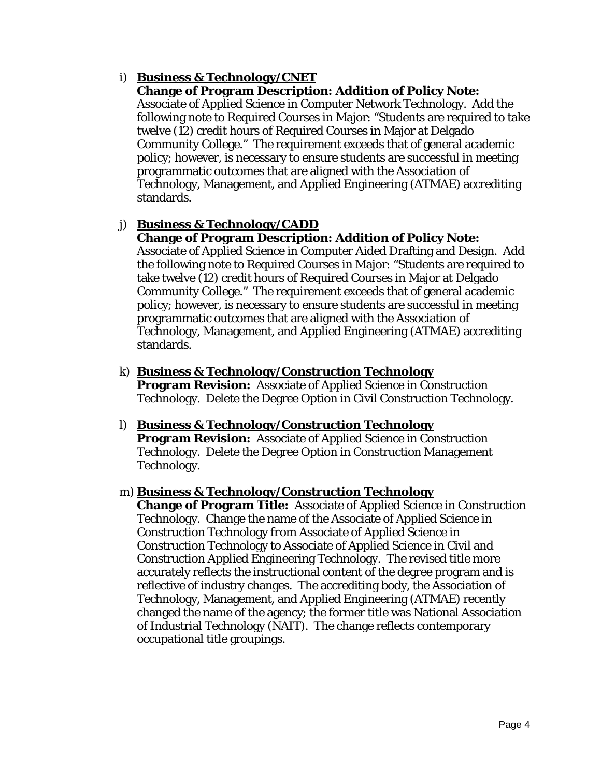# i) **Business & Technology/CNET**

#### **Change of Program Description: Addition of Policy Note:**

Associate of Applied Science in Computer Network Technology. Add the following note to Required Courses in Major: "Students are required to take twelve (12) credit hours of Required Courses in Major at Delgado Community College." The requirement exceeds that of general academic policy; however, is necessary to ensure students are successful in meeting programmatic outcomes that are aligned with the Association of Technology, Management, and Applied Engineering (ATMAE) accrediting standards.

# j) **Business & Technology/CADD**

### **Change of Program Description: Addition of Policy Note:**

Associate of Applied Science in Computer Aided Drafting and Design. Add the following note to Required Courses in Major: "Students are required to take twelve (12) credit hours of Required Courses in Major at Delgado Community College." The requirement exceeds that of general academic policy; however, is necessary to ensure students are successful in meeting programmatic outcomes that are aligned with the Association of Technology, Management, and Applied Engineering (ATMAE) accrediting standards.

- k) **Business & Technology/Construction Technology Program Revision:** Associate of Applied Science in Construction Technology. Delete the Degree Option in Civil Construction Technology.
- l) **Business & Technology/Construction Technology Program Revision:** Associate of Applied Science in Construction Technology. Delete the Degree Option in Construction Management Technology.

#### m) **Business & Technology/Construction Technology**

**Change of Program Title:** Associate of Applied Science in Construction Technology. Change the name of the Associate of Applied Science in Construction Technology *from* Associate of Applied Science in Construction Technology *to* Associate of Applied Science in Civil and Construction Applied Engineering Technology. The revised title more accurately reflects the instructional content of the degree program and is reflective of industry changes. The accrediting body, the Association of Technology, Management, and Applied Engineering (ATMAE) recently changed the name of the agency; the former title was National Association of Industrial Technology (NAIT). The change reflects contemporary occupational title groupings.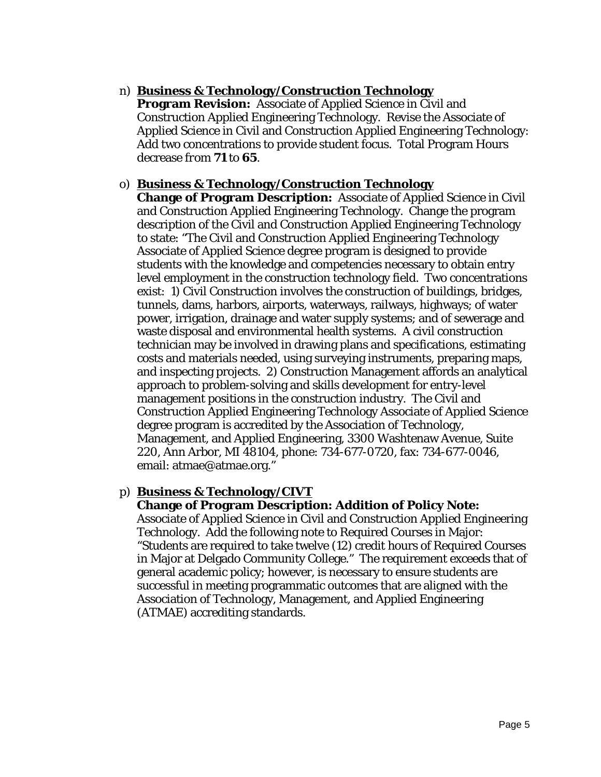# n) **Business & Technology/Construction Technology**

**Program Revision:** Associate of Applied Science in Civil and Construction Applied Engineering Technology. Revise the Associate of Applied Science in Civil and Construction Applied Engineering Technology: Add two concentrations to provide student focus. Total Program Hours decrease *from* **71** *to* **65**.

### o) **Business & Technology/Construction Technology**

**Change of Program Description:** Associate of Applied Science in Civil and Construction Applied Engineering Technology. Change the program description of the Civil and Construction Applied Engineering Technology to state: "The Civil and Construction Applied Engineering Technology Associate of Applied Science degree program is designed to provide students with the knowledge and competencies necessary to obtain entry level employment in the construction technology field. Two concentrations exist: 1) Civil Construction involves the construction of buildings, bridges, tunnels, dams, harbors, airports, waterways, railways, highways; of water power, irrigation, drainage and water supply systems; and of sewerage and waste disposal and environmental health systems. A civil construction technician may be involved in drawing plans and specifications, estimating costs and materials needed, using surveying instruments, preparing maps, and inspecting projects. 2) Construction Management affords an analytical approach to problem-solving and skills development for entry-level management positions in the construction industry. The Civil and Construction Applied Engineering Technology Associate of Applied Science degree program is accredited by the Association of Technology, Management, and Applied Engineering, 3300 Washtenaw Avenue, Suite 220, Ann Arbor, MI 48104, phone: 734-677-0720, fax: 734-677-0046, email: atmae@atmae.org."

# p) **Business & Technology/CIVT**

### **Change of Program Description: Addition of Policy Note:**

Associate of Applied Science in Civil and Construction Applied Engineering Technology. Add the following note to Required Courses in Major: "Students are required to take twelve (12) credit hours of Required Courses in Major at Delgado Community College." The requirement exceeds that of general academic policy; however, is necessary to ensure students are successful in meeting programmatic outcomes that are aligned with the Association of Technology, Management, and Applied Engineering (ATMAE) accrediting standards.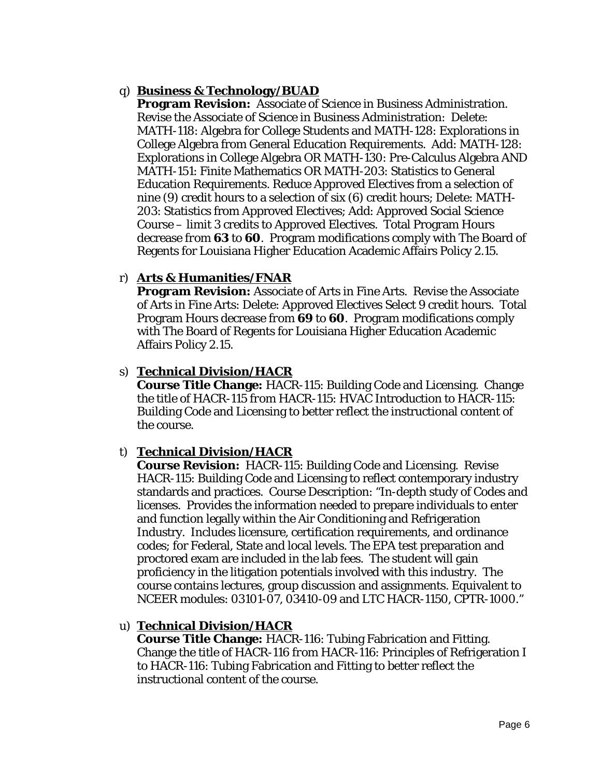# q) **Business & Technology/BUAD**

**Program Revision:** Associate of Science in Business Administration. Revise the Associate of Science in Business Administration: Delete: MATH-118: Algebra for College Students and MATH-128: Explorations in College Algebra from General Education Requirements. Add: MATH-128: Explorations in College Algebra OR MATH-130: Pre-Calculus Algebra AND MATH-151: Finite Mathematics OR MATH-203: Statistics to General Education Requirements. Reduce Approved Electives from a selection of nine (9) credit hours to a selection of six (6) credit hours; Delete: MATH-203: Statistics from Approved Electives; Add: Approved Social Science Course – limit 3 credits to Approved Electives. Total Program Hours decrease *from* **63** *to* **60**. Program modifications comply with The Board of Regents for Louisiana Higher Education Academic Affairs Policy 2.15.

# r) **Arts & Humanities/FNAR**

**Program Revision:** Associate of Arts in Fine Arts. Revise the Associate of Arts in Fine Arts: Delete: Approved Electives Select 9 credit hours. Total Program Hours decrease *from* **69** *to* **60**. Program modifications comply with The Board of Regents for Louisiana Higher Education Academic Affairs Policy 2.15.

# s) **Technical Division/HACR**

**Course Title Change:** HACR-115: Building Code and Licensing. Change the title of HACR-115 *from* HACR-115: HVAC Introduction *to* HACR-115: Building Code and Licensing to better reflect the instructional content of the course.

# t) **Technical Division/HACR**

**Course Revision:** HACR-115: Building Code and Licensing. Revise HACR-115: Building Code and Licensing to reflect contemporary industry standards and practices. Course Description: "In-depth study of Codes and licenses. Provides the information needed to prepare individuals to enter and function legally within the Air Conditioning and Refrigeration Industry. Includes licensure, certification requirements, and ordinance codes; for Federal, State and local levels. The EPA test preparation and proctored exam are included in the lab fees. The student will gain proficiency in the litigation potentials involved with this industry. The course contains lectures, group discussion and assignments. Equivalent to NCEER modules: 03101-07, 03410-09 and LTC HACR-1150, CPTR-1000."

# u) **Technical Division/HACR**

**Course Title Change:** HACR-116: Tubing Fabrication and Fitting. Change the title of HACR-116 *from* HACR-116: Principles of Refrigeration I *to* HACR-116: Tubing Fabrication and Fitting to better reflect the instructional content of the course.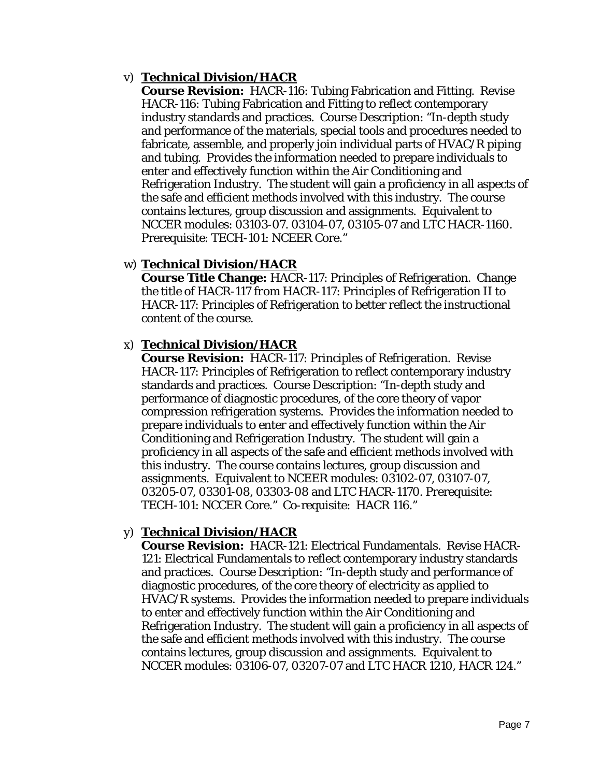# v) **Technical Division/HACR**

**Course Revision:** HACR-116: Tubing Fabrication and Fitting. Revise HACR-116: Tubing Fabrication and Fitting to reflect contemporary industry standards and practices. Course Description: "In-depth study and performance of the materials, special tools and procedures needed to fabricate, assemble, and properly join individual parts of HVAC/R piping and tubing. Provides the information needed to prepare individuals to enter and effectively function within the Air Conditioning and Refrigeration Industry. The student will gain a proficiency in all aspects of the safe and efficient methods involved with this industry. The course contains lectures, group discussion and assignments. Equivalent to NCCER modules: 03103-07. 03104-07, 03105-07 and LTC HACR-1160. Prerequisite: TECH-101: NCEER Core."

# w) **Technical Division/HACR**

**Course Title Change:** HACR-117: Principles of Refrigeration. Change the title of HACR-117 *from* HACR-117: Principles of Refrigeration II *to* HACR-117: Principles of Refrigeration to better reflect the instructional content of the course.

### x) **Technical Division/HACR**

**Course Revision:** HACR-117: Principles of Refrigeration. Revise HACR-117: Principles of Refrigeration to reflect contemporary industry standards and practices. Course Description: "In-depth study and performance of diagnostic procedures, of the core theory of vapor compression refrigeration systems. Provides the information needed to prepare individuals to enter and effectively function within the Air Conditioning and Refrigeration Industry. The student will gain a proficiency in all aspects of the safe and efficient methods involved with this industry. The course contains lectures, group discussion and assignments. Equivalent to NCEER modules: 03102-07, 03107-07, 03205-07, 03301-08, 03303-08 and LTC HACR-1170. Prerequisite: TECH-101: NCCER Core." Co-requisite: HACR 116."

# y) **Technical Division/HACR**

**Course Revision:** HACR-121: Electrical Fundamentals. Revise HACR-121: Electrical Fundamentals to reflect contemporary industry standards and practices. Course Description: "In-depth study and performance of diagnostic procedures, of the core theory of electricity as applied to HVAC/R systems. Provides the information needed to prepare individuals to enter and effectively function within the Air Conditioning and Refrigeration Industry. The student will gain a proficiency in all aspects of the safe and efficient methods involved with this industry. The course contains lectures, group discussion and assignments. Equivalent to NCCER modules: 03106-07, 03207-07 and LTC HACR 1210, HACR 124."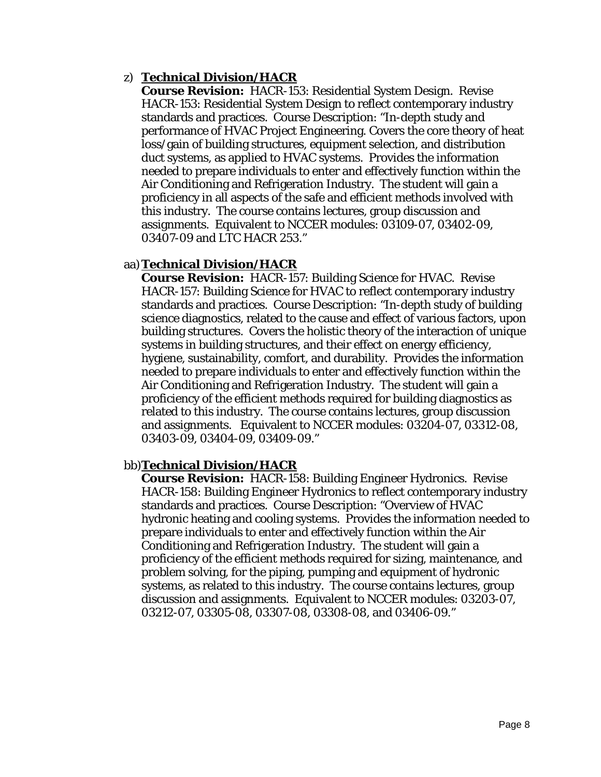### z) **Technical Division/HACR**

**Course Revision:** HACR-153: Residential System Design. Revise HACR-153: Residential System Design to reflect contemporary industry standards and practices. Course Description: "In-depth study and performance of HVAC Project Engineering. Covers the core theory of heat loss/gain of building structures, equipment selection, and distribution duct systems, as applied to HVAC systems. Provides the information needed to prepare individuals to enter and effectively function within the Air Conditioning and Refrigeration Industry. The student will gain a proficiency in all aspects of the safe and efficient methods involved with this industry. The course contains lectures, group discussion and assignments. Equivalent to NCCER modules: 03109-07, 03402-09, 03407-09 and LTC HACR 253."

### aa)**Technical Division/HACR**

**Course Revision:** HACR-157: Building Science for HVAC. Revise HACR-157: Building Science for HVAC to reflect contemporary industry standards and practices. Course Description: "In-depth study of building science diagnostics, related to the cause and effect of various factors, upon building structures. Covers the holistic theory of the interaction of unique systems in building structures, and their effect on energy efficiency, hygiene, sustainability, comfort, and durability. Provides the information needed to prepare individuals to enter and effectively function within the Air Conditioning and Refrigeration Industry. The student will gain a proficiency of the efficient methods required for building diagnostics as related to this industry. The course contains lectures, group discussion and assignments. Equivalent to NCCER modules: 03204-07, 03312-08, 03403-09, 03404-09, 03409-09."

### bb)**Technical Division/HACR**

**Course Revision:** HACR-158: Building Engineer Hydronics. Revise HACR-158: Building Engineer Hydronics to reflect contemporary industry standards and practices. Course Description: "Overview of HVAC hydronic heating and cooling systems. Provides the information needed to prepare individuals to enter and effectively function within the Air Conditioning and Refrigeration Industry. The student will gain a proficiency of the efficient methods required for sizing, maintenance, and problem solving, for the piping, pumping and equipment of hydronic systems, as related to this industry. The course contains lectures, group discussion and assignments. Equivalent to NCCER modules: 03203-07, 03212-07, 03305-08, 03307-08, 03308-08, and 03406-09."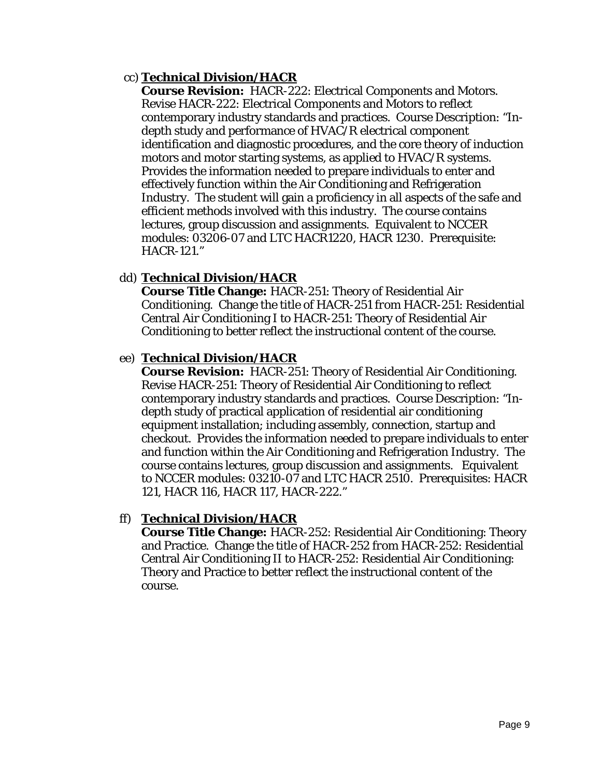### cc) **Technical Division/HACR**

**Course Revision:** HACR-222: Electrical Components and Motors. Revise HACR-222: Electrical Components and Motors to reflect contemporary industry standards and practices. Course Description: "Indepth study and performance of HVAC/R electrical component identification and diagnostic procedures, and the core theory of induction motors and motor starting systems, as applied to HVAC/R systems. Provides the information needed to prepare individuals to enter and effectively function within the Air Conditioning and Refrigeration Industry. The student will gain a proficiency in all aspects of the safe and efficient methods involved with this industry. The course contains lectures, group discussion and assignments. Equivalent to NCCER modules: 03206-07 and LTC HACR1220, HACR 1230. Prerequisite: HACR-121."

# dd) **Technical Division/HACR**

**Course Title Change:** HACR-251: Theory of Residential Air Conditioning. Change the title of HACR-251 *from* HACR-251: Residential Central Air Conditioning I *to* HACR-251: Theory of Residential Air Conditioning to better reflect the instructional content of the course.

### ee) **Technical Division/HACR**

**Course Revision:** HACR-251: Theory of Residential Air Conditioning. Revise HACR-251: Theory of Residential Air Conditioning to reflect contemporary industry standards and practices. Course Description: "Indepth study of practical application of residential air conditioning equipment installation; including assembly, connection, startup and checkout. Provides the information needed to prepare individuals to enter and function within the Air Conditioning and Refrigeration Industry. The course contains lectures, group discussion and assignments. Equivalent to NCCER modules: 03210-07 and LTC HACR 2510. Prerequisites: HACR 121, HACR 116, HACR 117, HACR-222."

### ff) **Technical Division/HACR**

**Course Title Change:** HACR-252: Residential Air Conditioning: Theory and Practice. Change the title of HACR-252 *from* HACR-252: Residential Central Air Conditioning II *to* HACR-252: Residential Air Conditioning: Theory and Practice to better reflect the instructional content of the course.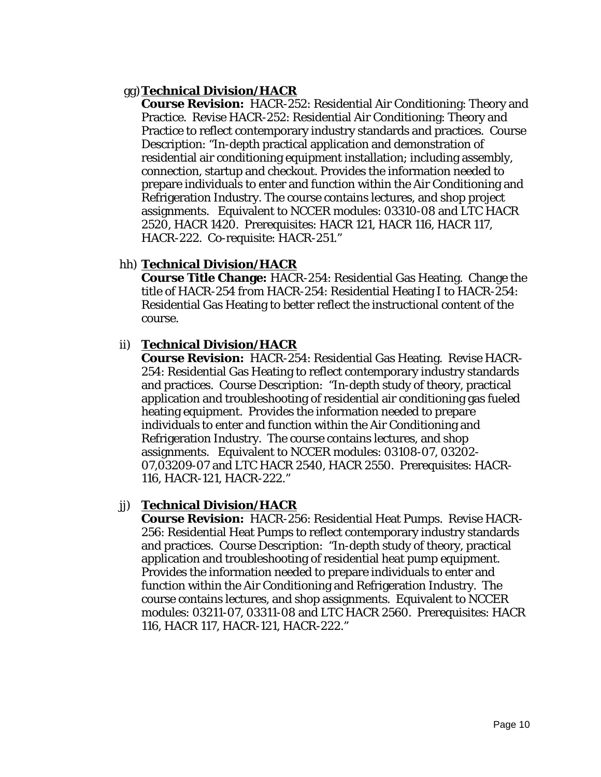### gg)**Technical Division/HACR**

**Course Revision:** HACR-252: Residential Air Conditioning: Theory and Practice. Revise HACR-252: Residential Air Conditioning: Theory and Practice to reflect contemporary industry standards and practices. Course Description: "In-depth practical application and demonstration of residential air conditioning equipment installation; including assembly, connection, startup and checkout. Provides the information needed to prepare individuals to enter and function within the Air Conditioning and Refrigeration Industry. The course contains lectures, and shop project assignments. Equivalent to NCCER modules: 03310-08 and LTC HACR 2520, HACR 1420. Prerequisites: HACR 121, HACR 116, HACR 117, HACR-222. Co-requisite: HACR-251."

### hh) **Technical Division/HACR**

**Course Title Change:** HACR-254: Residential Gas Heating. Change the title of HACR-254 *from* HACR-254: Residential Heating I *to* HACR-254: Residential Gas Heating to better reflect the instructional content of the course.

### ii) **Technical Division/HACR**

**Course Revision:** HACR-254: Residential Gas Heating. Revise HACR-254: Residential Gas Heating to reflect contemporary industry standards and practices. Course Description: "In-depth study of theory, practical application and troubleshooting of residential air conditioning gas fueled heating equipment. Provides the information needed to prepare individuals to enter and function within the Air Conditioning and Refrigeration Industry. The course contains lectures, and shop assignments. Equivalent to NCCER modules: 03108-07, 03202- 07,03209-07 and LTC HACR 2540, HACR 2550. Prerequisites: HACR-116, HACR-121, HACR-222."

### jj) **Technical Division/HACR**

**Course Revision:** HACR-256: Residential Heat Pumps. Revise HACR-256: Residential Heat Pumps to reflect contemporary industry standards and practices. Course Description: "In-depth study of theory, practical application and troubleshooting of residential heat pump equipment. Provides the information needed to prepare individuals to enter and function within the Air Conditioning and Refrigeration Industry. The course contains lectures, and shop assignments. Equivalent to NCCER modules: 03211-07, 03311-08 and LTC HACR 2560. Prerequisites: HACR 116, HACR 117, HACR-121, HACR-222."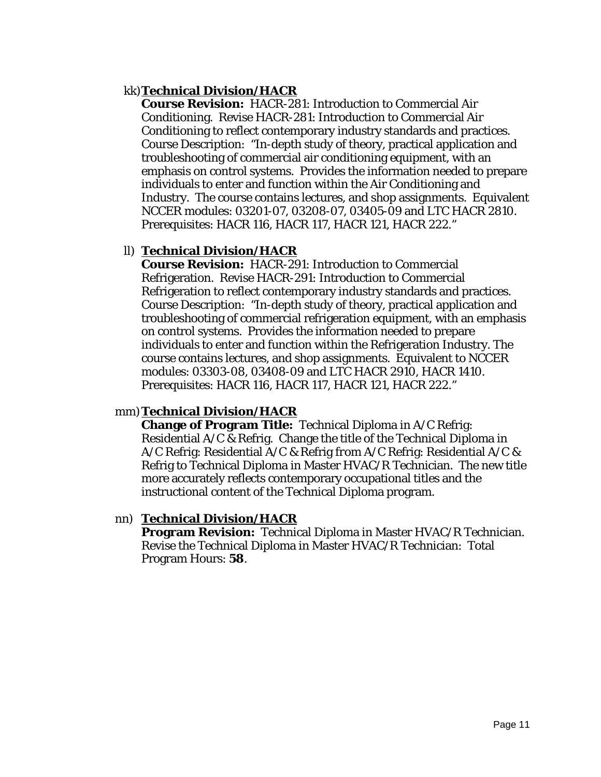### kk)**Technical Division/HACR**

**Course Revision:** HACR-281: Introduction to Commercial Air Conditioning. Revise HACR-281: Introduction to Commercial Air Conditioning to reflect contemporary industry standards and practices. Course Description: "In-depth study of theory, practical application and troubleshooting of commercial air conditioning equipment, with an emphasis on control systems. Provides the information needed to prepare individuals to enter and function within the Air Conditioning and Industry. The course contains lectures, and shop assignments. Equivalent NCCER modules: 03201-07, 03208-07, 03405-09 and LTC HACR 2810. Prerequisites: HACR 116, HACR 117, HACR 121, HACR 222."

### ll) **Technical Division/HACR**

**Course Revision:** HACR-291: Introduction to Commercial Refrigeration. Revise HACR-291: Introduction to Commercial Refrigeration to reflect contemporary industry standards and practices. Course Description: "In-depth study of theory, practical application and troubleshooting of commercial refrigeration equipment, with an emphasis on control systems. Provides the information needed to prepare individuals to enter and function within the Refrigeration Industry. The course contains lectures, and shop assignments. Equivalent to NCCER modules: 03303-08, 03408-09 and LTC HACR 2910, HACR 1410. Prerequisites: HACR 116, HACR 117, HACR 121, HACR 222."

### mm)**Technical Division/HACR**

**Change of Program Title:** Technical Diploma in A/C Refrig: Residential A/C & Refrig. Change the title of the Technical Diploma in A/C Refrig: Residential A/C & Refrig *from* A/C Refrig: Residential A/C & Refrig *to* Technical Diploma in Master HVAC/R Technician. The new title more accurately reflects contemporary occupational titles and the instructional content of the Technical Diploma program.

### nn) **Technical Division/HACR**

**Program Revision:** Technical Diploma in Master HVAC/R Technician. Revise the Technical Diploma in Master HVAC/R Technician: Total Program Hours: **58**.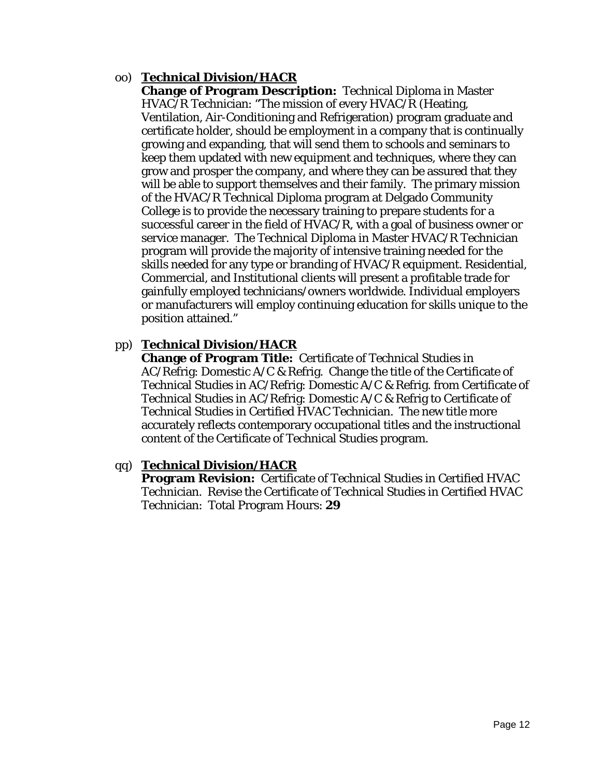# oo) **Technical Division/HACR**

**Change of Program Description:** Technical Diploma in Master HVAC/R Technician: "The mission of every HVAC/R (Heating, Ventilation, Air-Conditioning and Refrigeration) program graduate and certificate holder, should be employment in a company that is continually growing and expanding, that will send them to schools and seminars to keep them updated with new equipment and techniques, where they can grow and prosper the company, and where they can be assured that they will be able to support themselves and their family. The primary mission of the HVAC/R Technical Diploma program at Delgado Community College is to provide the necessary training to prepare students for a successful career in the field of HVAC/R, with a goal of business owner or service manager. The Technical Diploma in Master HVAC/R Technician program will provide the majority of intensive training needed for the skills needed for any type or branding of HVAC/R equipment. Residential, Commercial, and Institutional clients will present a profitable trade for gainfully employed technicians/owners worldwide. Individual employers or manufacturers will employ continuing education for skills unique to the position attained."

# pp) **Technical Division/HACR**

**Change of Program Title:** Certificate of Technical Studies in AC/Refrig: Domestic A/C & Refrig. Change the title of the Certificate of Technical Studies in AC/Refrig: Domestic A/C & Refrig. from Certificate of Technical Studies in AC/Refrig: Domestic A/C & Refrig to Certificate of Technical Studies in Certified HVAC Technician. The new title more accurately reflects contemporary occupational titles and the instructional content of the Certificate of Technical Studies program.

### qq) **Technical Division/HACR**

**Program Revision:** Certificate of Technical Studies in Certified HVAC Technician. Revise the Certificate of Technical Studies in Certified HVAC Technician: Total Program Hours: **29**